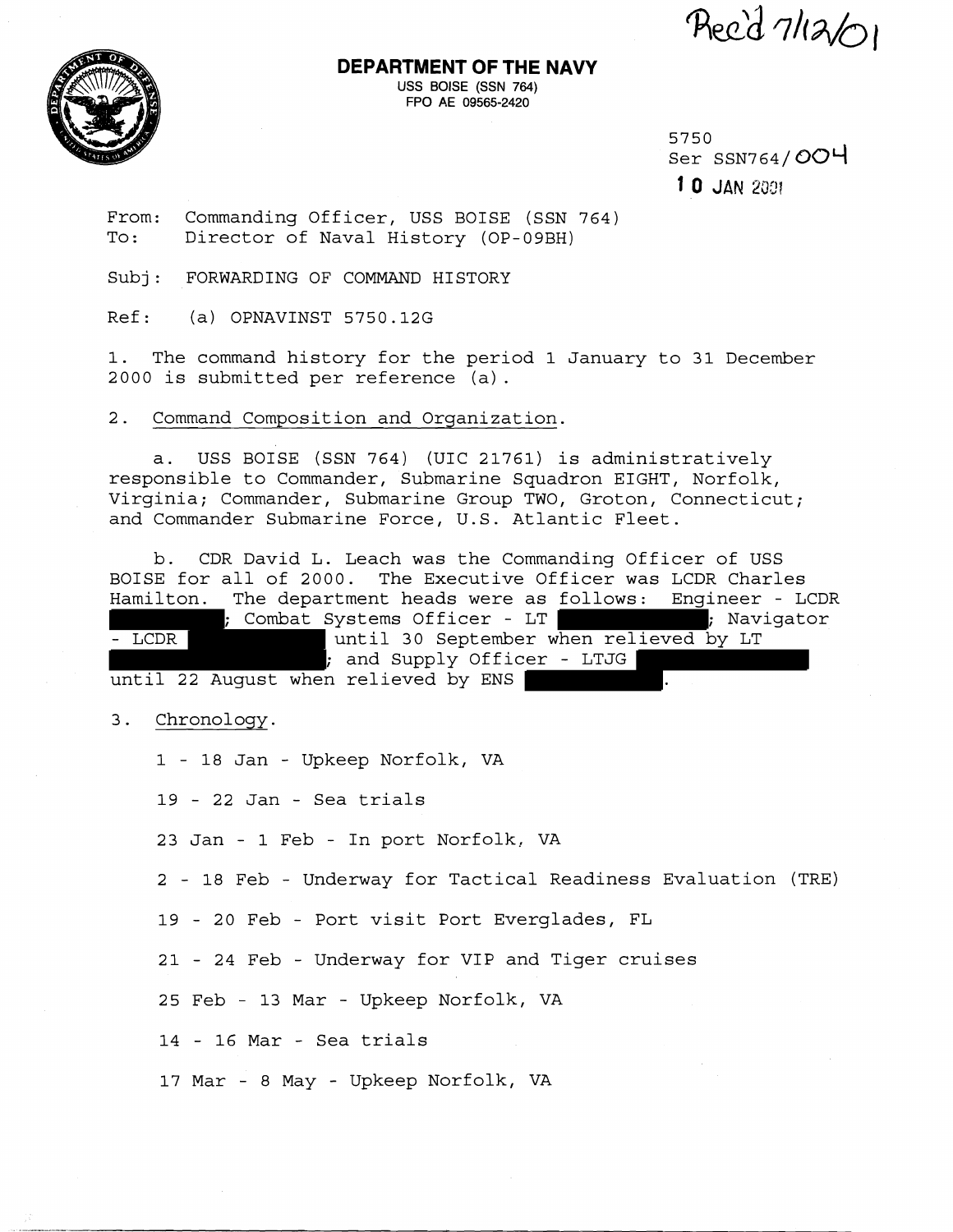Reed 7/12/01



**DEPARTMENT OF THE NAVY USS BOISE (SSN 764)** 

**FPO AE 09565-2420** 

5750 Ser  $SSN764/OOH$ 1  $0$  JAN 2001

From: Commanding Officer, USS BOISE (SSN 764) To: Director of Naval History (OP-09BH)

Subj: FORWARDING OF COMMAND HISTORY

Ref: (a) OPNAVINST 5750.12G

1. The command history for the period 1 January to 31 December 2000 is submitted per reference (a) .

2. Command Composition and Orqanization.

a. USS BOISE (SSN 764) (UIC 21761) is administratively responsible to Commander, Submarine Squadron EIGHT, Norfolk, Virginia; Commander, Submarine Group TWO, Groton, Connecticut; and Commander Submarine Force, U.S. Atlantic Fleet.

b. CDR David L. Leach was the Commanding Officer of USS BOISE for all of 2000. The Executive Officer was LCDR Charles Hamilton. The department heads were as follows: Engineer - LCDR ; Combat Systems Officer - LT ; Navigator - LCDR and until 30 September when relieved by LT ; and Supply Officer - LTJG until 22 August when relieved by ENS .

3. Chronology.

1 - 18 Jan - Upkeep Norfolk, VA

19 - 22 Jan - Sea trials

23 Jan - 1 Feb - In port Norfolk, VA

2 - 18 Feb - Underway for Tactical Readiness Evaluation (TRE)

19 - 20 Feb - Port visit Port Everglades, FL

21 - 24 Feb - Underway for VIP and Tiger cruises

25 Feb - 13 Mar - Upkeep Norfolk, VA

14 - 16 Mar - Sea trials

17 Mar - 8 May - Upkeep Norfolk, VA